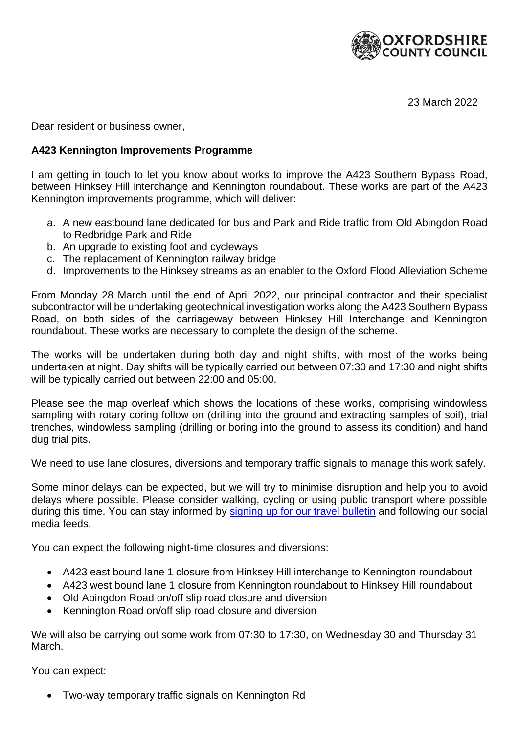

23 March 2022

Dear resident or business owner,

## **A423 Kennington Improvements Programme**

I am getting in touch to let you know about works to improve the A423 Southern Bypass Road, between Hinksey Hill interchange and Kennington roundabout. These works are part of the A423 Kennington improvements programme, which will deliver:

- a. A new eastbound lane dedicated for bus and Park and Ride traffic from Old Abingdon Road to Redbridge Park and Ride
- b. An upgrade to existing foot and cycleways
- c. The replacement of Kennington railway bridge
- d. Improvements to the Hinksey streams as an enabler to the Oxford Flood Alleviation Scheme

From Monday 28 March until the end of April 2022, our principal contractor and their specialist subcontractor will be undertaking geotechnical investigation works along the A423 Southern Bypass Road, on both sides of the carriageway between Hinksey Hill Interchange and Kennington roundabout. These works are necessary to complete the design of the scheme.

The works will be undertaken during both day and night shifts, with most of the works being undertaken at night. Day shifts will be typically carried out between 07:30 and 17:30 and night shifts will be typically carried out between 22:00 and 05:00.

Please see the map overleaf which shows the locations of these works, comprising windowless sampling with rotary coring follow on (drilling into the ground and extracting samples of soil), trial trenches, windowless sampling (drilling or boring into the ground to assess its condition) and hand dug trial pits.

We need to use lane closures, diversions and temporary traffic signals to manage this work safely.

Some minor delays can be expected, but we will try to minimise disruption and help you to avoid delays where possible. Please consider walking, cycling or using public transport where possible during this time. You can stay informed by [signing up for our travel bulletin](https://www.oxfordshire.gov.uk/residents/roads-and-transport/roadworks/roads-and-transport-news) and following our social media feeds.

You can expect the following night-time closures and diversions:

- A423 east bound lane 1 closure from Hinksey Hill interchange to Kennington roundabout
- A423 west bound lane 1 closure from Kennington roundabout to Hinksey Hill roundabout
- Old Abingdon Road on/off slip road closure and diversion
- Kennington Road on/off slip road closure and diversion

We will also be carrying out some work from 07:30 to 17:30, on Wednesday 30 and Thursday 31 March.

You can expect:

• Two-way temporary traffic signals on Kennington Rd